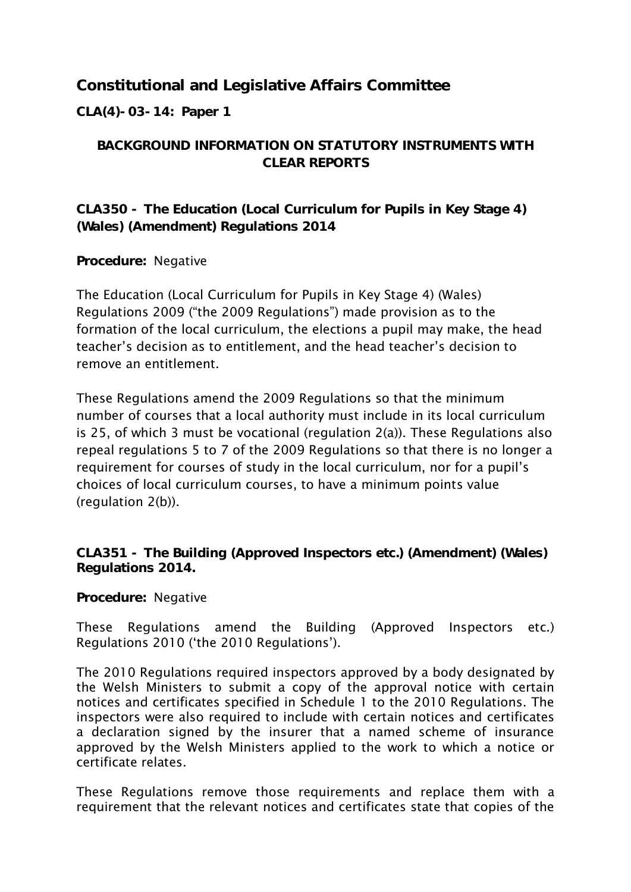## **Constitutional and Legislative Affairs Committee**

**CLA(4)-03-14: Paper 1**

## **BACKGROUND INFORMATION ON STATUTORY INSTRUMENTS WITH CLEAR REPORTS**

**CLA350 - The Education (Local Curriculum for Pupils in Key Stage 4) (Wales) (Amendment) Regulations 2014**

**Procedure:** Negative

The Education (Local Curriculum for Pupils in Key Stage 4) (Wales) Regulations 2009 ("the 2009 Regulations") made provision as to the formation of the local curriculum, the elections a pupil may make, the head teacher"s decision as to entitlement, and the head teacher"s decision to remove an entitlement.

These Regulations amend the 2009 Regulations so that the minimum number of courses that a local authority must include in its local curriculum is 25, of which 3 must be vocational (regulation 2(a)). These Regulations also repeal regulations 5 to 7 of the 2009 Regulations so that there is no longer a requirement for courses of study in the local curriculum, nor for a pupil"s choices of local curriculum courses, to have a minimum points value (regulation 2(b)).

**CLA351 - The Building (Approved Inspectors etc.) (Amendment) (Wales) Regulations 2014.**

**Procedure:** Negative

These Regulations amend the Building (Approved Inspectors etc.) Regulations 2010 ('the 2010 Regulations').

The 2010 Regulations required inspectors approved by a body designated by the Welsh Ministers to submit a copy of the approval notice with certain notices and certificates specified in Schedule 1 to the 2010 Regulations. The inspectors were also required to include with certain notices and certificates a declaration signed by the insurer that a named scheme of insurance approved by the Welsh Ministers applied to the work to which a notice or certificate relates.

These Regulations remove those requirements and replace them with a requirement that the relevant notices and certificates state that copies of the